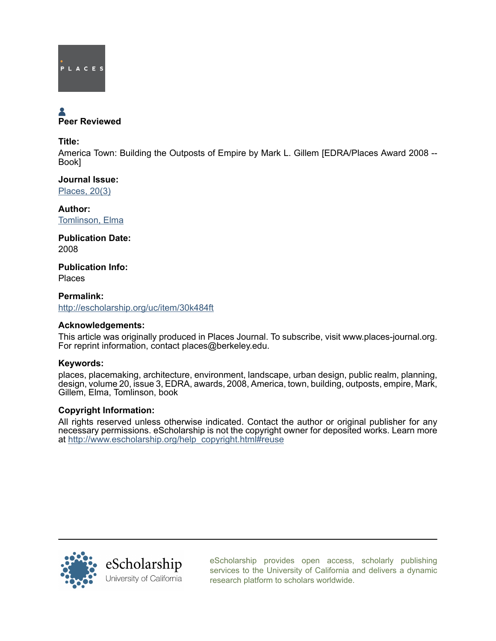

# Peer Reviewed

## Title:

America Town: Building the Outposts of Empire by Mark L. Gillem [EDRA/Places Award 2008 -- Book]

Journal Issue: [Places, 20\(3\)](http://escholarship.org/uc/ced_places?volume=20;issue=3)

Author: [Tomlinson, Elma](http://escholarship.org/uc/search?creator=Tomlinson%2C%20Elma)

Publication Date: 2008

Publication Info: Places

Permalink: <http://escholarship.org/uc/item/30k484ft>

# Acknowledgements:

This article was originally produced in Places Journal. To subscribe, visit www.places-journal.org. For reprint information, contact places@berkeley.edu.

# Keywords:

places, placemaking, architecture, environment, landscape, urban design, public realm, planning, design, volume 20, issue 3, EDRA, awards, 2008, America, town, building, outposts, empire, Mark, Gillem, Elma, Tomlinson, book

## Copyright Information:

All rights reserved unless otherwise indicated. Contact the author or original publisher for any necessary permissions. eScholarship is not the copyright owner for deposited works. Learn more at [http://www.escholarship.org/help\\_copyright.html#reuse](http://www.escholarship.org/help_copyright.html#reuse)



[eScholarship provides open access, scholarly publishing](http://escholarship.org) [services to the University of California and delivers a dynamic](http://escholarship.org) [research platform to scholars worldwide.](http://escholarship.org)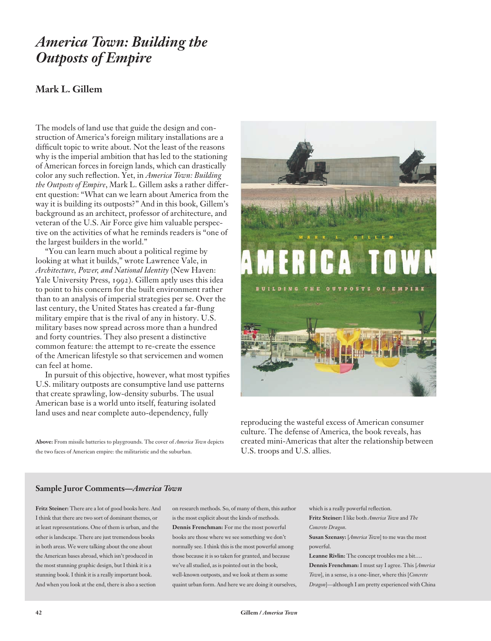# *America Town: Building the Outposts of Empire*

# **Mark L. Gillem**

The models of land use that guide the design and construction of America's foreign military installations are a difficult topic to write about. Not the least of the reasons why is the imperial ambition that has led to the stationing of American forces in foreign lands, which can drastically color any such reflection. Yet, in *America Town: Building the Outposts of Empire*, Mark L. Gillem asks a rather different question: "What can we learn about America from the way it is building its outposts?" And in this book, Gillem's background as an architect, professor of architecture, and veteran of the U.S. Air Force give him valuable perspective on the activities of what he reminds readers is "one of the largest builders in the world."

"You can learn much about a political regime by looking at what it builds," wrote Lawrence Vale, in *Architecture, Power, and National Identity* (New Haven: Yale University Press, 1992). Gillem aptly uses this idea to point to his concern for the built environment rather than to an analysis of imperial strategies per se. Over the last century, the United States has created a far-flung military empire that is the rival of any in history. U.S. military bases now spread across more than a hundred and forty countries. They also present a distinctive common feature: the attempt to re-create the essence of the American lifestyle so that servicemen and women can feel at home.

In pursuit of this objective, however, what most typifies U.S. military outposts are consumptive land use patterns that create sprawling, low-density suburbs. The usual American base is a world unto itself, featuring isolated land uses and near complete auto-dependency, fully

**Above:** From missile batteries to playgrounds. The cover of *America Town* depicts the two faces of American empire: the militaristic and the suburban.



reproducing the wasteful excess of American consumer culture. The defense of America, the book reveals, has created mini-Americas that alter the relationship between U.S. troops and U.S. allies.

#### **Sample Juror Comments—***America Town*

**Fritz Steiner:** There are a lot of good books here. And I think that there are two sort of dominant themes, or at least representations. One of them is urban, and the other is landscape. There are just tremendous books in both areas. We were talking about the one about the American bases abroad, which isn't produced in the most stunning graphic design, but I think it is a stunning book. I think it is a really important book. And when you look at the end, there is also a section

on research methods. So, of many of them, this author is the most explicit about the kinds of methods. **Dennis Frenchman:** For me the most powerful books are those where we see something we don't normally see. I think this is the most powerful among those because it is so taken for granted, and because we've all studied, as is pointed out in the book, well-known outposts, and we look at them as some quaint urban form. And here we are doing it ourselves, which is a really powerful reflection. **Fritz Steiner:** I like both *America Town* and *The Concrete Dragon*.

**Susan Szenasy:** [*America Town*] to me was the most powerful.

**Leanne Rivlin:** The concept troubles me a bit….

**Dennis Frenchman:** I must say I agree. This [*America Town*], in a sense, is a one-liner, where this [*Concrete Dragon*]—although I am pretty experienced with China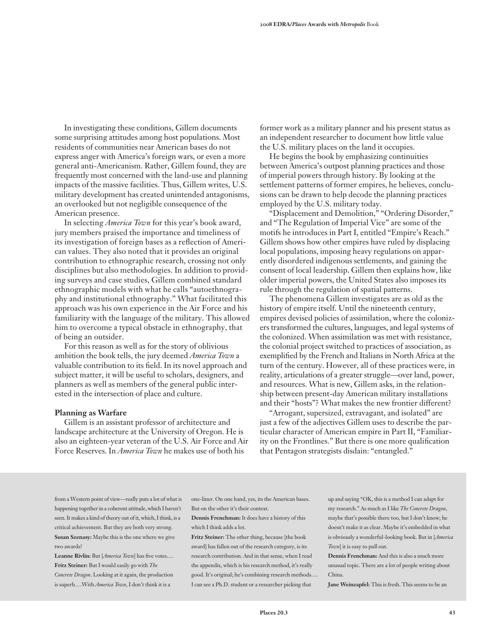In investigating these conditions, Gillem documents some surprising attitudes among host populations. Most residents of communities near American bases do not express anger with America's foreign wars, or even a more general anti-Americanism. Rather, Gillem found, they are frequently most concerned with the land-use and planning impacts of the massive facilities. Thus, Gillem writes, U.S. military development has created unintended antagonisms, an overlooked but not negligible consequence of the American presence.

In selecting *America Town* for this year's book award, jury members praised the importance and timeliness of its investigation of foreign bases as a reflection of American values. They also noted that it provides an original contribution to ethnographic research, crossing not only disciplines but also methodologies. In addition to providing surveys and case studies, Gillem combined standard ethnographic models with what he calls "autoethnography and institutional ethnography." What facilitated this approach was his own experience in the Air Force and his familiarity with the language of the military. This allowed him to overcome a typical obstacle in ethnography, that of being an outsider.

For this reason as well as for the story of oblivious ambition the book tells, the jury deemed *America Town* a valuable contribution to its field. In its novel approach and subject matter, it will be useful to scholars, designers, and planners as well as members of the general public interested in the intersection of place and culture.

#### **Planning as Warfare**

Gillem is an assistant professor of architecture and landscape architecture at the University of Oregon. He is also an eighteen-year veteran of the U.S. Air Force and Air Force Reserves. In *America Town* he makes use of both his

former work as a military planner and his present status as an independent researcher to document how little value the U.S. military places on the land it occupies.

He begins the book by emphasizing continuities between America's outpost planning practices and those of imperial powers through history. By looking at the settlement patterns of former empires, he believes, conclusions can be drawn to help decode the planning practices employed by the U.S. military today.

"Displacement and Demolition," "Ordering Disorder," and "The Regulation of Imperial Vice" are some of the motifs he introduces in Part I, entitled "Empire's Reach." Gillem shows how other empires have ruled by displacing local populations, imposing heavy regulations on apparently disordered indigenous settlements, and gaining the consent of local leadership. Gillem then explains how, like older imperial powers, the United States also imposes its rule through the regulation of spatial patterns.

The phenomena Gillem investigates are as old as the history of empire itself. Until the nineteenth century, empires devised policies of assimilation, where the colonizers transformed the cultures, languages, and legal systems of the colonized. When assimilation was met with resistance, the colonial project switched to practices of association, as exemplified by the French and Italians in North Africa at the turn of the century. However, all of these practices were, in reality, articulations of a greater struggle—over land, power, and resources. What is new, Gillem asks, in the relationship between present-day American military installations and their "hosts"? What makes the new frontier different?

"Arrogant, supersized, extravagant, and isolated" are just a few of the adjectives Gillem uses to describe the particular character of American empire in Part II, "Familiarity on the Frontlines." But there is one more qualification that Pentagon strategists disdain: "entangled."

from a Western point of view—really puts a lot of what is happening together in a coherent attitude, which I haven't seen. It makes a kind of theory out of it, which, I think, is a critical achievement. But they are both very strong. **Susan Szenasy:** Maybe this is the one where we give two awards?

**Leanne Rivlin:** But [*America Town*] has five votes…. **Fritz Steiner:** But I would easily go with *The Concrete Dragon*. Looking at it again, the production is superb.…With *America Town*, I don't think it is a

one-liner. On one hand, yes, its the American bases. But on the other it's their context.

**Dennis Frenchman:** It does have a history of this which I think adds a lot.

**Fritz Steiner:** The other thing, because [the book award] has fallen out of the research category, is its research contribution. And in that sense, when I read the appendix, which is his research method, it's really good. It's original; he's combining research methods…. I can see a Ph.D. student or a researcher picking that

up and saying "OK, this is a method I can adapt for my research." As much as I like *The Concrete Dragon*, maybe that's possible there too, but I don't know; he doesn't make it as clear. Maybe it's embedded in what is obviously a wonderful-looking book. But in [*America Town*] it is easy to pull out.

**Dennis Frenchman:** And this is also a much more unusual topic. There are a lot of people writing about China.

**Jane Weinzapfel:** This is fresh. This seems to be an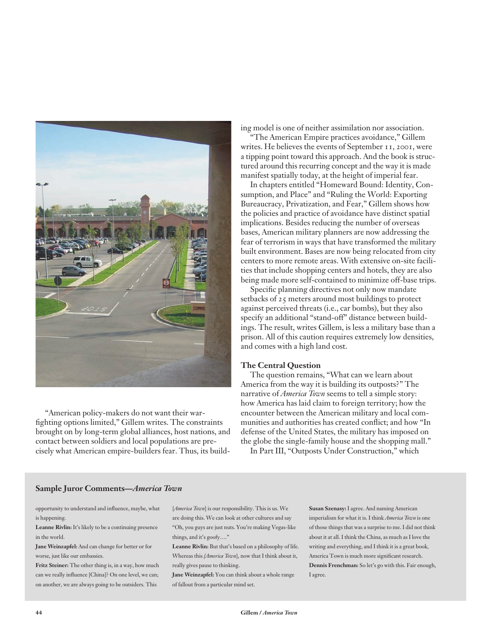

"American policy-makers do not want their warfighting options limited," Gillem writes. The constraints brought on by long-term global alliances, host nations, and contact between soldiers and local populations are precisely what American empire-builders fear. Thus, its building model is one of neither assimilation nor association.

"The American Empire practices avoidance," Gillem writes. He believes the events of September 11, 2001, were a tipping point toward this approach. And the book is structured around this recurring concept and the way it is made manifest spatially today, at the height of imperial fear.

In chapters entitled "Homeward Bound: Identity, Consumption, and Place" and "Ruling the World: Exporting Bureaucracy, Privatization, and Fear," Gillem shows how the policies and practice of avoidance have distinct spatial implications. Besides reducing the number of overseas bases, American military planners are now addressing the fear of terrorism in ways that have transformed the military built environment. Bases are now being relocated from city centers to more remote areas. With extensive on-site facilities that include shopping centers and hotels, they are also being made more self-contained to minimize off-base trips.

Specific planning directives not only now mandate setbacks of 25 meters around most buildings to protect against perceived threats (i.e., car bombs), but they also specify an additional "stand-off" distance between buildings. The result, writes Gillem, is less a military base than a prison. All of this caution requires extremely low densities, and comes with a high land cost.

#### **The Central Question**

The question remains, "What can we learn about America from the way it is building its outposts?" The narrative of *America Town* seems to tell a simple story: how America has laid claim to foreign territory; how the encounter between the American military and local communities and authorities has created conflict; and how "In defense of the United States, the military has imposed on the globe the single-family house and the shopping mall."

In Part III, "Outposts Under Construction," which

#### **Sample Juror Comments—***America Town*

opportunity to understand and influence, maybe, what is happening.

**Leanne Rivlin:** It's likely to be a continuing presence in the world.

**Jane Weinzapfel:** And can change for better or for worse, just like our embassies.

**Fritz Steiner:** The other thing is, in a way, how much can we really influence [China]? On one level, we can; on another, we are always going to be outsiders. This

[*America Town*] is our responsibility. This is us. We are doing this. We can look at other cultures and say "Oh, you guys are just nuts. You're making Vegas-like things, and it's goofy…."

**Leanne Rivlin:** But that's based on a philosophy of life. Whereas this *[America Town*], now that I think about it, really gives pause to thinking.

**Jane Weinzapfel:** You can think about a whole range of fallout from a particular mind set.

**Susan Szenasy:** I agree. And naming American imperialism for what it is. I think *America Town* is one of those things that was a surprise to me. I did not think about it at all. I think the China, as much as I love the writing and everything, and I think it is a great book, America Town is much more significant research. **Dennis Frenchman:** So let's go with this. Fair enough, I agree.